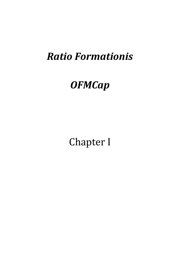## *Ratio Formationis*

# *OFMCap*

Chapter I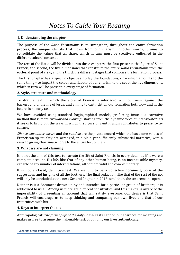#### **1. Understanding the chapter**

The purpose of the *Ratio Formationis* is to strengthen, throughout the entire formation process, the unique identity that flows from our charism. In other words, it aims to consolidate the values that all share, which in turn must be creatively enfleshed in the different cultural contexts.

The text of the Ratio will be divided into three chapters: the first presents the figure of Saint Francis, the second, the five dimensions that constitute the entire *Ratio Formationis* from the ecclesial point of view, and the third, the different stages that comprise the formation process.

The first chapter has a specific objective: to lay the foundations, or – which amounts to the same thing – to impart the colour and flavour of our charism to the set of the five dimensions, which in turn will be present in every stage of formation.

#### **2. Style, structure and methodology**

To draft a text in which the story of Francis is interlaced with our own, against the background of the life of Jesus, and aiming to cast light on our formation both now and in the future, is no easy task.

We have avoided using standard hagiographical models, preferring instead a narrative method that is more *circular and evolving:* starting from the dynamic force of *inter-relatedness* it seeks to bring out the ways in which the figure of Saint Francis contributes to present-day culture.

*Silence*, *encounter*, *desire* and the *canticle* are the pivots around which the basic core values of Franciscan spirituality are arranged, in a plain yet sufficiently substantial narrative, with a view to giving charismatic force to the entire text of the RF.

#### **3. What we are not claiming**

It is not the aim of this text to narrate the life of Saint Francis in every detail as if it were a complete account. His life, like that of any other human being, is an inexhaustible mystery, capable of any number of interpretations, all of them valid and complementary.

It is not a closed, definitive text. We want it to be a collective document, born of the suggestions and insights of all the brothers. The final redaction, like that of the rest of the *RF,* will only be concluded at the next General Chapter in 2018; until then, the text remains open.

Neither is it a document drawn up by and intended for a particular group of brothers; it is addressed to us all. Among us there are different sensitivities, and this makes us aware of the impossibility of presenting an account that will satisfy everyone. Our desire is that Saint Francis will encourage us to keep thinking and comparing our own lives and that of our fraternities with his.

#### **4. Keys to interpret the text**

Anthropological: *The form of life of the holy Gospel* casts light on our searches for meaning and makes us free to assume the inalienable task of building our lives authentically.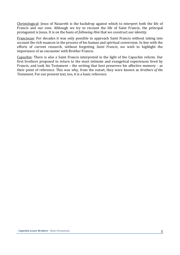Christological: Jesus of Nazareth is the backdrop against which to interpret both the life of Francis and our own. Although we try to recount the life of Saint Francis, the principal protagonist is Jesus. It is on the basis of *following Him* that we construct our *identity*.

Franciscan: For decades it was only possible to approach Saint Francis without taking into account the rich nuances in the process of his human and spiritual conversion. In line with the efforts of current research, without forgetting *Saint Francis*, we wish to highlight the importance of an encounter with Brother Francis.

Capuchin: There is also a Saint Francis interpreted in the light of the Capuchin reform. Our first brothers proposed to return to the most intimate and evangelical experiences lived by Francis, and took his Testament – the writing that best preserves his affective memory - as their point of reference. This was why, from the outset, they were known as *brothers of the Testament*. For our present text, too, it is a basic reference.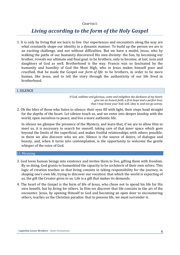#### CHAPTER I:

### *Living according to the form of the Holy Gospel*

1. It is only by living that we learn to live. Our experiences and encounters along the way are what constantly shape our identity in a dynamic manner. To build up the person we are is an exciting challenge, and not without difficulties. But we have a model, Jesus, who by walking the paths of our humanity discovered His own divinity: the Son, by becoming our brother, reveals our ultimate and final goal: to be brothers, only to become, at last, sons and daughters of God as well. Brotherhood is the way. Francis was so fascinated by the humanity and humility of God the Most High, who in Jesus makes himself poor and crucified, that he made the Gospel our *form of life*: to be brothers, in order to be more human, like Jesus, and to tell the story through the authenticity of our life lived in brotherhood.

#### I. SILENCE

*O God, sublime and glorious, come and enlighten the darkness of my heart; give me an honest faith, a firm hope and a perfect love, that I may know your holy will, obey it, and not go astray.*

2. Oh the bliss of those who listen to silence: their eyes fill with light, their steps head straight for the depths of the heart. Let silence touch us, and we enter into deeper kinship with the world, open ourselves to peace, and live a more authentic life.

In silence we glimpse the presence of the Mystery, and learn that, if we are to allow Him to meet us, it is necessary to search for oneself, taking care of that inner space which goes beyond the limits of the superficial, and makes fruitful relationships with others possible: in them we also discover who we are. Silence is the source of desire, of dialogue and beauty, and, when it turns into contemplation, is the opportunity to welcome the gentle whisper of the voice of God.

I.I. Meaning

- 3. God loves human beings into existence and invites them to live, gifting them with freedom. By so doing, God grants to humankind the capacity to be architects of their own selves. This logic of creation teaches us that living consists in taking responsibility for the journey, in shaping one's own life, trying to discover our vocation: that which the world is expecting of us, the gift the Creator gives to us. Life is a gift that makes its demands.
- 4. The heart of the Gospel is the form of life of Jesus, who chose not to spend his life for His own benefit, but by living for others. In Him we discover that life consists in the art of the encounter. Jesus, by opening Himself to God and becoming an open door to encountering others, teaches us the Christian paradox: that to possess life, we must surrender it.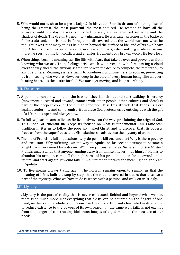- 5. Who would not wish to be a great knight? In his youth, Francis dreamt of nothing else: of being the greatest, the most powerful, the most admired. He seemed to have all the answers, until one day he was confronted by war, and experienced suffering and the shadow of death. The dream turned into a nightmare. He was taken prisoner in the battle of Collestrada and, imprisoned in Perugia, he discovered that the world was not what he thought it was, that many things lie hidden beyond the surface of life, and of his own heart too. After his prison experience came sickness and crisis, when nothing made sense any more: he sees nothing but conflicts and enemies, fragments of a broken world. He feels lost.
- 6. When things become meaningless, life fills with fears that take us over and prevent us from knowing who we are. Then, feelings arise which we never knew before, casting a cloud over the way ahead: the anxious search for power, the desire to compete, the temptation to exclude others. Meaninglessness turns to loneliness, and loneliness to egoism, preventing us from seeing who we are. However, deep in the core of every human being, like an everbeating heart, lies the desire for God. We must get moving, and keep searching.

#### I. II. The search

- 7. A person discovers who he or she is when they launch out and start walking. Itinerancy (movement outward and inward, contact with other people, other cultures and ideas) is part of the deepest core of the human condition. It is this attitude that keeps us alert against conformity and compromise; from these God protects us by enticing us with the gift of a life that is open and always new.
- 8. To follow Jesus means to live as He lived: always on the way, proclaiming the reign of God. This model of itinerant life keeps us focused on what is fundamental. Our Franciscan tradition invites us to follow the poor and naked Christ, and to discover that His poverty frees us from the superfluous, that His nakedness leads us into the mystery of truth.
- 9. The life of Francis is full of questions: why do people kill one another? Why is there poverty and exclusion? Why suffering? On the way to Apulia, on his second attempt to become a knight, he is awakened by a dream: *Whom do you wish to serve, the servant or the Master?* Francis understands that anyone running away from himself never finds himself. He has to abandon his armour, come off the high horse of his pride, be taken for a coward and a failure, and start agaain. It would take him a lifetime to unravel the meaning of that dream in Spoleto.
- 10. To live means always trying again. The horizon remains open, to remind us that the meaning of life is built up, step by step, that the road is covered in tracks that disclose a part of the mystery. What we have to do is search with a passion, and walk on trustingly.

#### I.III. Mystery

11. Mystery is the part of reality that is never exhausted. Behind and beyond what we see, there is so much more. Not everything that exists can be counted on the fingers of one hand, neither can the whole truth be enclosed in a book. Humanity has failed in its attempt to reduce existence to the powers of its own reason. In the same way, faith is not exempt from the danger of constructing idolatrous images of a god made to the measure of our needs.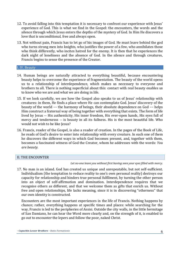- 12. To avoid falling into this temptation it is necessary to confront our experience with Jesus' experience of God. This is what we find in the Gospel: the encounters, the words and the silence through which Jesus enters the depths of the mystery of God. In Him He discovers a love that is unconditional, free and always open.
- 13. Not without pain, Francis has to let go of his images of God. He must leave behind the god who turns strong men into knights, who justifies the power of a few, who annihilates those who think differently, who incites hatred for the enemy. It is then that he experiences the dark night of loneliness and the absence of God. In the silence and through creatures, Francis begins to sense the presence of the Creator.

#### I. IV. Beauty

- 14. Human beings are naturally attracted to everything beautiful, because encountering beauty helps to overcome the experience of fragmentation. The beauty of the world opens us to a relationship of interdependence, which makes us necessary to everyone and brothers to all. There is nothing superficial about this: contact with real beauty enables us to know who we are and what we are doing in life.
- 15. If we look carefully, we see how the Gospel also speaks to us of Jesus' relationship with creatures: in them, He finds a place where He can contemplate God. Jesus' discovery of the beauty of the world –– the harmony of beings, their absolute dependence on God –– helps Him construct a fraternal way of being together with everything that exists. The form of life lived by Jesus -- His authenticity, His inner freedom, His ever-open hands, His eyes full of mercy and tendernesss -- is beauty in all its fullness. His is the most beautiful life. Who would not wish to be like Jesus?
- 16. Francis, reader of the Gospel, is also a reader of creation. In the pages of the Book of Life, he reads of God's desire to enter into relationship with every creature. In each one of them he discovers the different ways in which God becomes present, and, together with them, becomes a fascinated witness of God the Creator, whom he addresses with the words: *You are beauty.*

#### II. THE ENCOUNTER

*Let no-one leave you without first having seen your eyes filled with mercy.*

17. No man is an island. God has created us unique and unrepeatable, but not self-sufficient. Individualism (the temptation to reduce reality to one's own personal reality) destroys our capacity for relationship and hinders true personal fulfilment, by turning the other person into an object of self-affirmation and domination. Interdependence requires that we recognise others as different, and that we welcome them as gifts that enrich us. Without free and open relationships, life lacks meaning, since it is in discovering "otherness" that our own identity is constructed.

Encounters are the most important experiences in the life of Francis. Nothing happens by chance; rather, everything happens at specific times and places: while searching for the way, Francis is led to the peripheries of Assisi. Outside the city walls, in the little hermitage of San Damiano, he can hear the Word more clearly and, on the strength of it, is enabled to go out to encounter the lepers and follow the poor, naked Christ.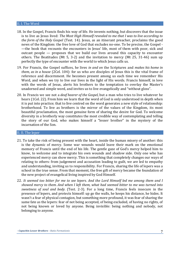#### II. I. The Word

- 18. In the Gospel, Francis finds his way of life. He invents nothing, but discovers that the issue is to live as Jesus lived: *The Most High Himself revealed to me that I was to live according to the form of the Holy Gospel* (Test. 14). Jesus, as an itinerant preacher, proclaims the good news of the Kingdom: the free love of God that excludes no-one. To be precise, the Gospel - —the book that recounts the encounters in Jesus' life, most of them with poor, sick and outcast people — proposes that we build our lives around this capacity to encounter others. The Beatitudes (Mt 5, 3-2) and the invitation to mercy (Mt 25, 31-46) sum up perfectly the type of encounter with the world to which Jesus calls us.
- 19. For Francis, the Gospel suffices, he lives *in and on* the Scriptures and *makes his home in them, as in a house* (2Cel. 104): for us who are disciples of Jesus this is the vital frame of reference and discernment. He becomes present among us each time we remember His Word, and when we try to live our lives in the light of His words. Francis himself, in love with the words of Jesus, alerts his brothers to the temptation to overlay the Master's unadorned and simple word, and invites us to live evangelically and "without gloss".
- 20. In Francis we see not a *deaf hearer of the Gospel,* but a man who tries to live whatever he hears (1Cel. 22). From him we learn that the word of God is only understood in depth when it is put into practice; that to live centred on the word generates a new style of relationship: brotherhood. To live as brothers is the mirror of the values of the Kingdom, its most beautiful proclamation, the most genuine form of sharing the desire for God. To welcome diversity in a brotherly way constitutes the most credible way of contemplating and telling the story of our God, who makes himself a "lesser brother" in the mystery of the incarnation of the Son.

#### II. II. The leper

- 21. To take the risk of being present with the heart, inside the human misery of another: this is the dynamic of mercy. Some war wounds would leave their mark on the emotional memory of Francis until the end of his life. The gentle gaze of God's mercy helped him to know, to welcome and to integrate his own wounds and shadow side. Only one who has experienced mercy can show mercy. This is something that completely changes our ways of relating to others: from judgement and accusation leading to guilt, we are led to empathy and understanding, inviting us to responsibility. For Francis, sharing the life of lepers was a school in the true sense. From that moment, the free gift of mercy became the foundation of the new project of evangelical living inspired by God Himself.
- 22. *It seemed too bitter for me to see lepers. And the Lord Himself led me among them and I showed mercy to them. And when I left them, what had seemed bitter to me was turned into sweetness of soul and body.* (Test. 2-3). For a long time, Francis feels insecure in the presence of lepers, and protects himself: up go the walls, he keeps his distance, he hides. It wasn't a fear of physical contagion, but something more profound, it was fear of sharing the same fate as the lepers: fear of not being accepted, of being excluded, of having no rights, of not being known or loved by anyone. Being invisible: being nothing and nobody, not belonging to anyone.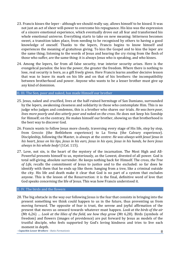- 23. Francis kisses the leper although we should really say, allows himself to be kissed. It was not just an act of sheer will-power to overcome his repugnance. His kiss was the expression of a sincere emotional experience, which eventually drove out all fear and transformed his whole emotional universe. Everything starts to take on new meaning: bitterness becomes sweet, a transition takes place, from needing to be recognised by others to having a good knowledge of oneself. Thanks to the lepers, Francis begins to know himself and experiences the meaning of gratuitous giving. To kiss the Gospel and to kiss the leper are the same thing; listening to the words of Jesus and hearing the cry rising from the flesh of those who suffer, are the same thing: it is always Jesus who is speaking, and who kisses.
- 24. Among the lepers, far from all false security, true interior security arises. Here is the evangelical paradox: the less the power, the greater the freedom. Where there is nothing to lose, real security is born, as a gift freely given. Here Francis learns another decisive lesson that was to leave its mark on his life and on that of his brothers: the incompatibility between brotherhood and power. Anyone who wants to be a lesser brother must give up any kind of dominion.

#### II. III. The Son, poor and naked, has made Himself our brother

- 25. Jesus, naked and crucified, lives at the half-ruined hermitage of San Damiano, surrounded by the lepers, awakening closeness and solidarity in those who contemplate Him. This is no judge who judges and condemns, this is a brother who shares our trials. *He was born poor, lives more poorly and dies utterly poor and naked on the cross*. He does not keep his Sonship for Himself; on the contrary, He makes himself our brother, showing us that brotherhood is the best way to discover God.
- 26. Francis wants to follow Jesus more closely, traversing every stage of His life, step by step, from Greccio (the Bethlehem experience) to La Verna (the Calvary experience). Discipleship, following the Master, is always at the centre: *He was always with Jesus! Jesus in his heart, Jesus on his lips, Jesus in his ears, Jesus in his eyes, Jesus in his hands, he bore Jesus always in his whole body!* (1Cel. 115).
- 27. Love, not sin, is the heart of the mystery of the incarnation. The Most High and All-Powerful presents himself to us, mysteriously, as the Lowest, divested of all power. God is total self-giving, absolute surrender. He keeps nothing back for Himself. The cross, *the Tree of Life*, recalls the commitment of Jesus to justice and to the excluded: so far does he identify with them that he ends up like them: hanging from a tree, like a criminal outside the city. His life and death make it clear that God is no part of a system that excludes anyone. This is the lesson of the Resurrection: it is the final, definitive word of love that God speaks concerning the life of Jesus. This was how Francis understood it.

#### II. IV. The birds and the flowers

28. The big obstacle in the way our following Jesus is the fear that consists in bringing into the present something we think could happen to us in the future, thus preventing us from moving forward. The opposite of fear is trust, the serene and joyful affirmation of the present that moves us onward towards whatever must happen. *Look at the birds of the air* (Mt 6,26) *… Look at the lilies of the field, see how they grow* (Mt 6,28). Birds (symbols of freedom) and flowers (images of providence) are put forward by Jesus as models of the trustful disciple, who feels supported by God's loving kindness and tries to live each moment in depth.

*- Capuchin Lesser Brothers - Ratio Formationis* 8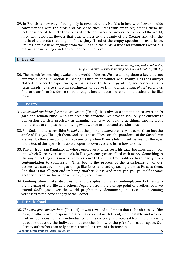29. In Francis, a new way of being holy is revealed to us. He falls in love with flowers, holds conversations with the birds and has close encounters with creatures; among them, he feels he is one of them. To the stones of enclosed spaces he prefers the cloister of the world, filled with colourful flowers that bear witness to the beauty of the Creator, and with the music of the birds that sing for God's glory. Tired of the empty speeches of experience, Francis learns a new language from the lilies and the birds, a free and gratuitous word, full of trust and inspiring absolute confidence in the Lord.

#### III. DESIRE

*Let us desire nothing else, seek nothing else, delight and take pleasure in nothing else but our Creator* (RnB, 23)

30. The search for meaning awakens the world of desire. We are talking about a key that sets our whole being in motion, launching us into an encounter with reality. Desire is always clothed in concrete experiences, keeps us alert to the energy of life, and connects us to Jesus, inspiring us to share his sentiments, to be like Him. Francis, *a man of desires*, allows God to transform his desire to be a knight into an even more sublime desire: to be like Jesus.

#### III.I. The gaze

- 31. *It seemed too bitter for me to see lepers* (Test.1). It is always a temptation to avert one's gaze and remain blind. Who can break the tendency we have to look only at ourselves? Conversion consists precisely in changing our way of looking at things, moving from indifference to compassion, allowing what we see to affect and transform us.
- 32. For God, no-one is invisible: *he looks* at the poor and *hears* their cry, he turns them into the apple of His eye. Through them, God looks at us. These are the paradoxes of the Gospel: we are seen by those we do not wish to see. Only when Francis lets himself be seen by the eyes of the God of the lepers is he able to open his own eyes and learn how to look.
- 33. The Christ of San Damiano, on whose open eyes Francis rests his gaze, becomes the mirror into which Clare invites us to look. In His eyes, our eyes are filled with mercy. Something in His way of looking at us moves us from silence to listening, from solitude to solidarity, from contemplation to compassion. Thus begins the process of the transformation of our desires: we start by looking at things like Jesus, and end up seeing them as He sees them. And that is not all: you end up being another Christ. And more yet: you yourself become another mirror, so that whoever sees you, sees Jesus.
- 34. Contemplation invites discipleship, and discipleship invites contemplation. Both sustain the meaning of our life as brothers. Together, from the vantage point of brotherhood, we extend God's gaze over the world prophetically, denouncing injustice and becoming witnesses to the hope and joy of the Gospel.

#### III. II. Brotherhood

35. *The Lord gave me brothers* (Test. 14). It was revealed to Francis that to be able to live like Jesus, brothers are indispensible. God has created us different, unrepeatable and unique. Brotherhood does not deny individuality; on the contrary, it protects it from individualism; it does not destroy the individual, but enriches him with the gift of a broader space. Our identity as brothers can only be constructed in terms of relationship.

*- Capuchin Lesser Brothers - Ratio Formationis* 9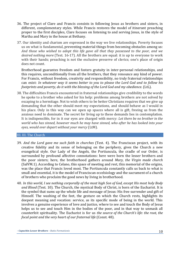- 36. The project of Clare and Francis consists in following Jesus as brothers and sisters, in different, complementary styles. While Francis restores the model of itinerant preaching proper to the first disciples, Clare focuses on listening to and serving Jesus, in the style of Martha and Mary in the house at Bethany.
- 37. Our identity and charism are expressed in the way we live relationships. Poverty focuses us on what is fundamental, preventing material things from becoming obstacles among us: *And those who wished to adopt this life gave all that they possessed to the poor, and we desired nothing more* (Test. 16-17)*.* All the brothers are equal: it is up to everyone to work with their hands; preaching is not the exclusive preserve of clerics; one's place of origin does not count.

Brotherhood guarantes freedom and fosters gratuity in inter-personal relationships, and this requires, unconditionally from all the brothers, that they renounce any kind of power. For Francis, without freedom, creativity and responsibility, no truly fraternal relationships can exist: *In whatever way it seems better to you to please the Lord God and to follow his footprints and poverty, do it with the blessing of the Lord God and my obedience.* (LtL).

38. The difficulties Francis encountered in fraternal relationships give credibility to the words he spoke to a brother who asked for his help: problems among brothers are not solved by escaping to a hermitage. Not to wish others to be better Christians requires that we give up demanding that the other should meet my expectations, and should behave as I would in his place. Only in this way can we open up spaces where all is gift, freeing us from the anxious need to dominate. The secret for living up to these demands lies in contemplation. It is indispensible, for in it our eyes are charged with mercy: *Let there be no brother in the world who has sinned, however much he may have sinned, who after he has looked into your eyes, would ever depart without your mercy* (LtM).

#### III. III. The Church

- 39. *And the Lord gave me such faith in churches* (Test. 4). The Franciscan project, with its creative fidelity and its sense of belonging on the periphery, gives the Church a new evangelical style. Our Lady of the Angels, the Portiuncula, the cradle of our Order, is surrounded by profound affective connotations: here were born the lesser brothers and the poor sisters; here, the brotherhood gathers around *Mary, the Virgin made church* (SalVM.1). According to Celano, this space of meeting and rest, this memorial of the origins, was the place that Francis loved most. The Portiuncula constantly calls us back to what is small and essential, it is the model of Franciscan eccelsiology and the sacrament of a church of brothers who proclaim the good news by living in brotherhood.
- 40. *In this world, I see nothing corporally of the most high Son of God, except His most holy Body and Blood* (Test. 10). The Church, the mystical Body of Christ, is born of the Eucharist. It is the symbol that sums up the whole life and message of Jesus: His free surrender and gift of Himself. The washing of the feet, the gesture on which the Church rests, highlights its deepest meaning and vocation: service, as its specific mode of being in the world. This involves a genuine experience of love and justice, where to see and touch the Body of Jesus helps us to see and touch Him in the bodies of the poor, and in that way to unmask all counterfeit spirituality. The Eucharist is for us *the source of the Church's life: the root, the focal point and the very heart of our fraternal life* (Const. 48).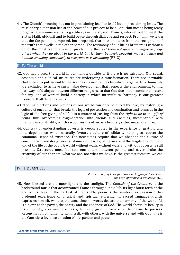41. The Church's meaning lies not in proclaiming itself to itself, but in proclaiming Jesus. The missionary dimension lies at the heart of our project: to be a Capuchin means being ready to go where no-one wants to go. Always in the style of Francis, who set out to meet the Sultan Malik Al-Kamil and to build peace through dialogue and respect. From him we learn that the Gospel is not imposed, but proposed, that mission starts from the recognition of the truth that dwells in the other person. The testimony of our life as brothers is without a doubt the most credible way of proclaiming this: *Let them not quarrel or argue or judge others when they go about in the world, but let them be meek, peaceful, modest, gentle and humble, speaking courteously to everyone, as is becioming* (RB, 3).

#### III. IV. The world

- 42. God has placed the world in our hands: outside of it there is no salvation. Our social, economic and cultural structures are undergoing a transformation. There are inevitable challenges: to put an end to the scandalous inequalities by which large parts of humanity are excluded; to achieve sustainable development that respects the environment; to find pathways of dialogue between different religions, so that God does not become the pretext for any kind of war; to build a society in which intercultural harmony is our greatest treasure. It all depends on us.
- 43. The malfunctions and wounds of our world can only be cured by love, by fostering a culture of encounter that breaks the logic of possession and domination and forms us in the logic of the free giving of self. It is a matter of passing from the *right to be* to the *gift of being*, thus overcoming fragmentation into friends and enemies, incompatible with Franciscan spirituality, which recognises the other as a brother/sister, never as a threat.
- 44. Our way of understanding poverty is deeply rooted in the experience of gratuity and interdependence, which naturally favours a culture of solidarity, helping to recover the communal sense of existence. The new times require that we abandon the culture of consumerism and design new sustainable lifesyles, being aware of the fragile environment and of the life of the poor. A world without walls, without wars and without poverty is still possible. Structures must facilitate encounters between people, and never choke the creativity of our charism: what we are, not what we have, is the greatest treasure we can offer.

#### IV. THE CANTICLE

*Praise to you, my Lord, for those who forgive for love of you, and bear infirmity and tribulation* (CC)

45. How blessed are the moonlight and the sunlight. The *Canticle of the Creatures* is the background music that accompanied Francis throughout his life. Its light burst forth at the end of his days, in the darkest of nights. The poem is the symbolic expression of his profound experience of physical and spiritual suffering. In sacred language Francis expresses himself, while at the same time his words declare the harmony of the world. All is a hymn to the power, the beauty and the goodness of God. The world shows its beauty in its simplicity, creatures exist as gifts freely given, unaware of the desire to possess. Reconciliation of humanity with itself, with others, with the universe and with God: this is the Canticle, a joyful celebration of life, pardon and peace.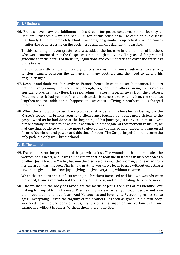#### IV. I. Blindness

46. Francis never saw the fulfilment of his dream for peace, conceived on his journey to Damieta. Crusades always end badly. On top of this sense of failure came an eye disease that finally left him completely blind: trachoma, or granular conjunctivitis, which causes insufferable pain, pressing on the optic nerve and making daylight unbearable.

To this suffering an even greater one was added: the increase in the number of brothers who were convinced that the Gospel was not enough to live by. They asked for practical guidelines for the details of their life, regulations and commentaries to cover the starkness of the Gospel.

Francis, outwardly blind and inwardly full of shadows, finds himself subjected to a strong tension : caught between the demands of many brothers and the need to defend his original insight.

- 47. Despair and doubt weigh heavily on Francis' heart. He wants to see, but cannot. He does not feel strong enough, nor see clearly enough, to guide the brothers. Giving up his role as spiritual guide, he finally flees. He seeks refuge in a hermitage, far away from the brothers. Once more, as it had years before, an existential blindness overwhelms him, the shadows lengthen and the saddest thing happens: the sweetness of living in brotherhood is changed into bitterness.
- 48. When the temptation to turn back grows ever stronger and he feels he has lost sight of the Master's footprints, Francis returns to silence and, touched by it once more, listens to the gospel word as he had done at the beginning of his journey: Jesus invites him to divest himself totally, to trust, to be as brave as when he first began. At that moment in his life, he had one final battle to win: once more to give up his dreams of knighthood, to abandon all forms of dominion and power, and this time, for ever. The Gospel impels him to resume the only path, the only way: brotherhood.

#### IV. II. The wound

49. Francis does not forget that it all began with a kiss. The wounds of the lepers healed the wounds of his heart, and it was among them that he took the first steps in his vocation as a brother. Jesus too, the Master, became the disciple of a wounded woman, and learned from her the art of washing feet. This is how gratuity works: we learn to give without expecting a reward, to give for the sheer joy of giving, to give everything without reserve.

When the tensions and conflicts among his brothers increased and his own wounds were reopened, Francis remembered the history of that kiss, and found healing there once more.

50. The wounds in the body of Francis are the marks of Jesus, the signs of his identity: love making him equal to his Beloved. The meaning is clear: when you touch people and love them, you touch and love Jesus. And He touches and loves you. Everything makes sense again. Everything – even the fragility of the brothers – is seen as grace. In his own body, wounded now like the body of Jesus, Francis puts his finger on one certain truth: one cannot live without brothers. Without them, there is no God.